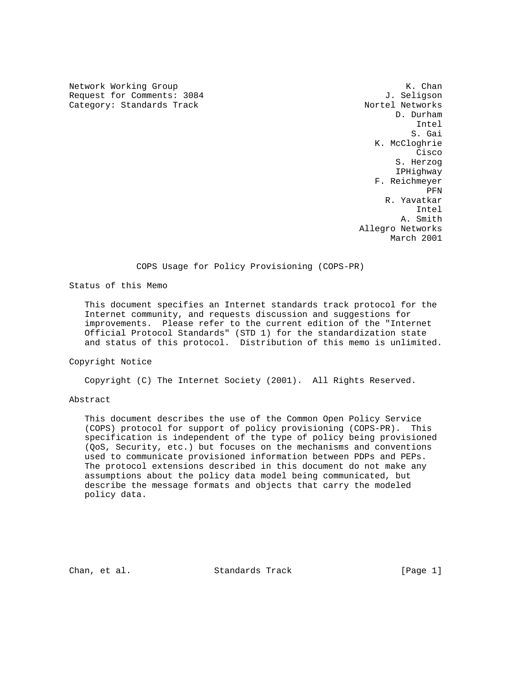Network Working Group K. Chan Request for Comments: 3084 Category: Standards Track Nortel Networks

 D. Durham Intel S. Gai K. McCloghrie **Cisco de la contrata de la contrata de la contrata de la contrata de la contrata de la contrata de la contrat**  S. Herzog IPHighway F. Reichmeyer **PFN**  R. Yavatkar Intel A. Smith Allegro Networks March 2001

### COPS Usage for Policy Provisioning (COPS-PR)

Status of this Memo

 This document specifies an Internet standards track protocol for the Internet community, and requests discussion and suggestions for improvements. Please refer to the current edition of the "Internet Official Protocol Standards" (STD 1) for the standardization state and status of this protocol. Distribution of this memo is unlimited.

### Copyright Notice

Copyright (C) The Internet Society (2001). All Rights Reserved.

### Abstract

 This document describes the use of the Common Open Policy Service (COPS) protocol for support of policy provisioning (COPS-PR). This specification is independent of the type of policy being provisioned (QoS, Security, etc.) but focuses on the mechanisms and conventions used to communicate provisioned information between PDPs and PEPs. The protocol extensions described in this document do not make any assumptions about the policy data model being communicated, but describe the message formats and objects that carry the modeled policy data.

Chan, et al. Standards Track [Page 1]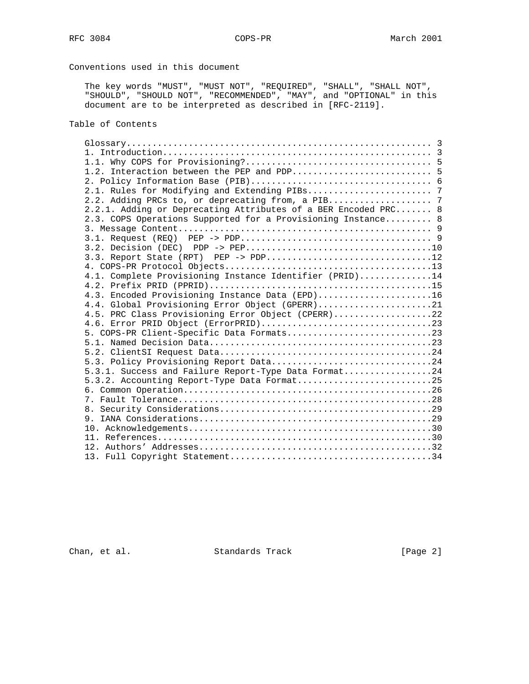# Conventions used in this document

 The key words "MUST", "MUST NOT", "REQUIRED", "SHALL", "SHALL NOT", "SHOULD", "SHOULD NOT", "RECOMMENDED", "MAY", and "OPTIONAL" in this document are to be interpreted as described in [RFC-2119].

# Table of Contents

| 2.2.1. Adding or Deprecating Attributes of a BER Encoded PRC 8 |  |
|----------------------------------------------------------------|--|
| 2.3. COPS Operations Supported for a Provisioning Instance 8   |  |
|                                                                |  |
|                                                                |  |
|                                                                |  |
| $3.3.$ Report State (RPT) PEP -> PDP12                         |  |
|                                                                |  |
| 4.1. Complete Provisioning Instance Identifier (PRID)14        |  |
|                                                                |  |
| 4.3. Encoded Provisioning Instance Data (EPD)16                |  |
| 4.4. Global Provisioning Error Object (GPERR)21                |  |
| 4.5. PRC Class Provisioning Error Object (CPERR)22             |  |
|                                                                |  |
| 5. COPS-PR Client-Specific Data Formats23                      |  |
|                                                                |  |
|                                                                |  |
| 5.3. Policy Provisioning Report Data24                         |  |
| 5.3.1. Success and Failure Report-Type Data Format24           |  |
| 5.3.2. Accounting Report-Type Data Format25                    |  |
|                                                                |  |
|                                                                |  |
|                                                                |  |
|                                                                |  |
|                                                                |  |
|                                                                |  |
|                                                                |  |
|                                                                |  |

Chan, et al. Standards Track [Page 2]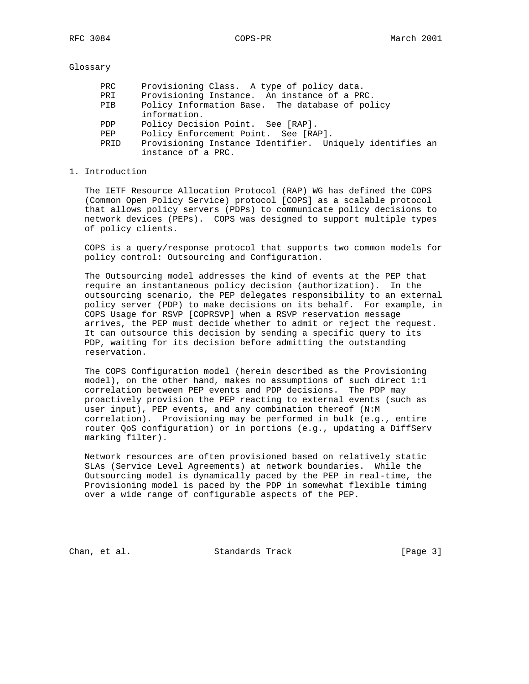Glossary

| Provisioning Instance Identifier. Uniquely identifies an |
|----------------------------------------------------------|
|                                                          |
|                                                          |

### 1. Introduction

 The IETF Resource Allocation Protocol (RAP) WG has defined the COPS (Common Open Policy Service) protocol [COPS] as a scalable protocol that allows policy servers (PDPs) to communicate policy decisions to network devices (PEPs). COPS was designed to support multiple types of policy clients.

 COPS is a query/response protocol that supports two common models for policy control: Outsourcing and Configuration.

 The Outsourcing model addresses the kind of events at the PEP that require an instantaneous policy decision (authorization). In the outsourcing scenario, the PEP delegates responsibility to an external policy server (PDP) to make decisions on its behalf. For example, in COPS Usage for RSVP [COPRSVP] when a RSVP reservation message arrives, the PEP must decide whether to admit or reject the request. It can outsource this decision by sending a specific query to its PDP, waiting for its decision before admitting the outstanding reservation.

 The COPS Configuration model (herein described as the Provisioning model), on the other hand, makes no assumptions of such direct 1:1 correlation between PEP events and PDP decisions. The PDP may proactively provision the PEP reacting to external events (such as user input), PEP events, and any combination thereof (N:M correlation). Provisioning may be performed in bulk (e.g., entire router QoS configuration) or in portions (e.g., updating a DiffServ marking filter).

 Network resources are often provisioned based on relatively static SLAs (Service Level Agreements) at network boundaries. While the Outsourcing model is dynamically paced by the PEP in real-time, the Provisioning model is paced by the PDP in somewhat flexible timing over a wide range of configurable aspects of the PEP.

Chan, et al. Standards Track [Page 3]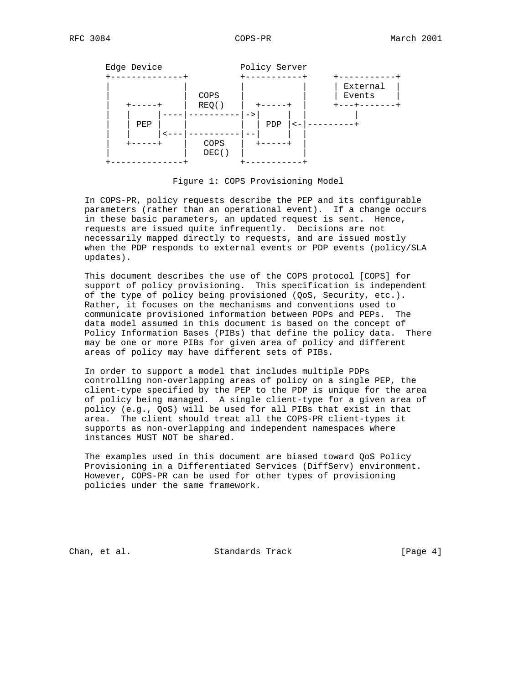

Figure 1: COPS Provisioning Model

 In COPS-PR, policy requests describe the PEP and its configurable parameters (rather than an operational event). If a change occurs in these basic parameters, an updated request is sent. Hence, requests are issued quite infrequently. Decisions are not necessarily mapped directly to requests, and are issued mostly when the PDP responds to external events or PDP events (policy/SLA updates).

 This document describes the use of the COPS protocol [COPS] for support of policy provisioning. This specification is independent of the type of policy being provisioned (QoS, Security, etc.). Rather, it focuses on the mechanisms and conventions used to communicate provisioned information between PDPs and PEPs. The data model assumed in this document is based on the concept of Policy Information Bases (PIBs) that define the policy data. There may be one or more PIBs for given area of policy and different areas of policy may have different sets of PIBs.

 In order to support a model that includes multiple PDPs controlling non-overlapping areas of policy on a single PEP, the client-type specified by the PEP to the PDP is unique for the area of policy being managed. A single client-type for a given area of policy (e.g., QoS) will be used for all PIBs that exist in that area. The client should treat all the COPS-PR client-types it supports as non-overlapping and independent namespaces where instances MUST NOT be shared.

 The examples used in this document are biased toward QoS Policy Provisioning in a Differentiated Services (DiffServ) environment. However, COPS-PR can be used for other types of provisioning policies under the same framework.

Chan, et al. Standards Track [Page 4]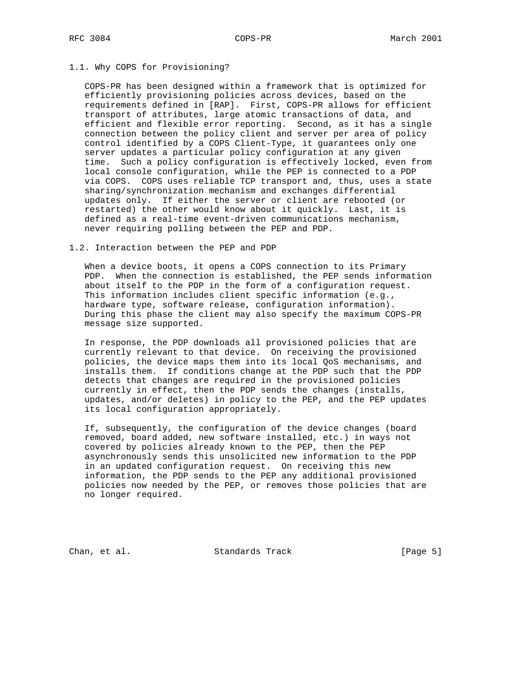### 1.1. Why COPS for Provisioning?

 COPS-PR has been designed within a framework that is optimized for efficiently provisioning policies across devices, based on the requirements defined in [RAP]. First, COPS-PR allows for efficient transport of attributes, large atomic transactions of data, and efficient and flexible error reporting. Second, as it has a single connection between the policy client and server per area of policy control identified by a COPS Client-Type, it guarantees only one server updates a particular policy configuration at any given time. Such a policy configuration is effectively locked, even from local console configuration, while the PEP is connected to a PDP via COPS. COPS uses reliable TCP transport and, thus, uses a state sharing/synchronization mechanism and exchanges differential updates only. If either the server or client are rebooted (or restarted) the other would know about it quickly. Last, it is defined as a real-time event-driven communications mechanism, never requiring polling between the PEP and PDP.

### 1.2. Interaction between the PEP and PDP

 When a device boots, it opens a COPS connection to its Primary PDP. When the connection is established, the PEP sends information about itself to the PDP in the form of a configuration request. This information includes client specific information (e.g., hardware type, software release, configuration information). During this phase the client may also specify the maximum COPS-PR message size supported.

 In response, the PDP downloads all provisioned policies that are currently relevant to that device. On receiving the provisioned policies, the device maps them into its local QoS mechanisms, and installs them. If conditions change at the PDP such that the PDP detects that changes are required in the provisioned policies currently in effect, then the PDP sends the changes (installs, updates, and/or deletes) in policy to the PEP, and the PEP updates its local configuration appropriately.

 If, subsequently, the configuration of the device changes (board removed, board added, new software installed, etc.) in ways not covered by policies already known to the PEP, then the PEP asynchronously sends this unsolicited new information to the PDP in an updated configuration request. On receiving this new information, the PDP sends to the PEP any additional provisioned policies now needed by the PEP, or removes those policies that are no longer required.

Chan, et al. Standards Track [Page 5]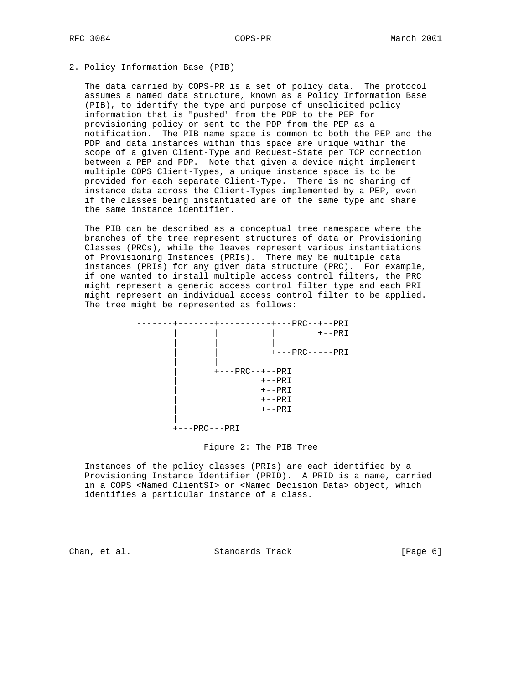### 2. Policy Information Base (PIB)

 The data carried by COPS-PR is a set of policy data. The protocol assumes a named data structure, known as a Policy Information Base (PIB), to identify the type and purpose of unsolicited policy information that is "pushed" from the PDP to the PEP for provisioning policy or sent to the PDP from the PEP as a notification. The PIB name space is common to both the PEP and the PDP and data instances within this space are unique within the scope of a given Client-Type and Request-State per TCP connection between a PEP and PDP. Note that given a device might implement multiple COPS Client-Types, a unique instance space is to be provided for each separate Client-Type. There is no sharing of instance data across the Client-Types implemented by a PEP, even if the classes being instantiated are of the same type and share the same instance identifier.

 The PIB can be described as a conceptual tree namespace where the branches of the tree represent structures of data or Provisioning Classes (PRCs), while the leaves represent various instantiations of Provisioning Instances (PRIs). There may be multiple data instances (PRIs) for any given data structure (PRC). For example, if one wanted to install multiple access control filters, the PRC might represent a generic access control filter type and each PRI might represent an individual access control filter to be applied. The tree might be represented as follows:

```
 -------+-------+----------+---PRC--+--PRI
                         | | | +--PRI
 | | |
 | | +---PRC-----PRI
 | |
                  | +---PRC--+--PRI
                        | +--PRI
                       +--PRI+--PRI+--\mathrm{PRI} |
             +---PRC---PRI
```
### Figure 2: The PIB Tree

 Instances of the policy classes (PRIs) are each identified by a Provisioning Instance Identifier (PRID). A PRID is a name, carried in a COPS <Named ClientSI> or <Named Decision Data> object, which identifies a particular instance of a class.

Chan, et al. Standards Track [Page 6]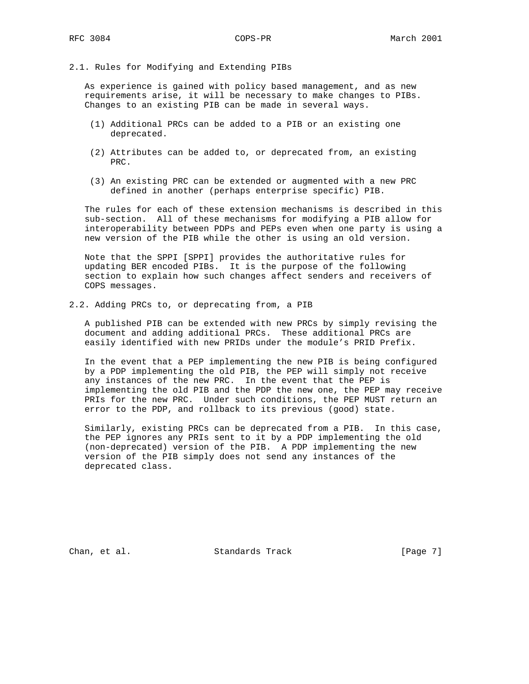### 2.1. Rules for Modifying and Extending PIBs

 As experience is gained with policy based management, and as new requirements arise, it will be necessary to make changes to PIBs. Changes to an existing PIB can be made in several ways.

- (1) Additional PRCs can be added to a PIB or an existing one deprecated.
- (2) Attributes can be added to, or deprecated from, an existing PRC.
- (3) An existing PRC can be extended or augmented with a new PRC defined in another (perhaps enterprise specific) PIB.

 The rules for each of these extension mechanisms is described in this sub-section. All of these mechanisms for modifying a PIB allow for interoperability between PDPs and PEPs even when one party is using a new version of the PIB while the other is using an old version.

 Note that the SPPI [SPPI] provides the authoritative rules for updating BER encoded PIBs. It is the purpose of the following section to explain how such changes affect senders and receivers of COPS messages.

2.2. Adding PRCs to, or deprecating from, a PIB

 A published PIB can be extended with new PRCs by simply revising the document and adding additional PRCs. These additional PRCs are easily identified with new PRIDs under the module's PRID Prefix.

 In the event that a PEP implementing the new PIB is being configured by a PDP implementing the old PIB, the PEP will simply not receive any instances of the new PRC. In the event that the PEP is implementing the old PIB and the PDP the new one, the PEP may receive PRIs for the new PRC. Under such conditions, the PEP MUST return an error to the PDP, and rollback to its previous (good) state.

 Similarly, existing PRCs can be deprecated from a PIB. In this case, the PEP ignores any PRIs sent to it by a PDP implementing the old (non-deprecated) version of the PIB. A PDP implementing the new version of the PIB simply does not send any instances of the deprecated class.

Chan, et al. Standards Track [Page 7]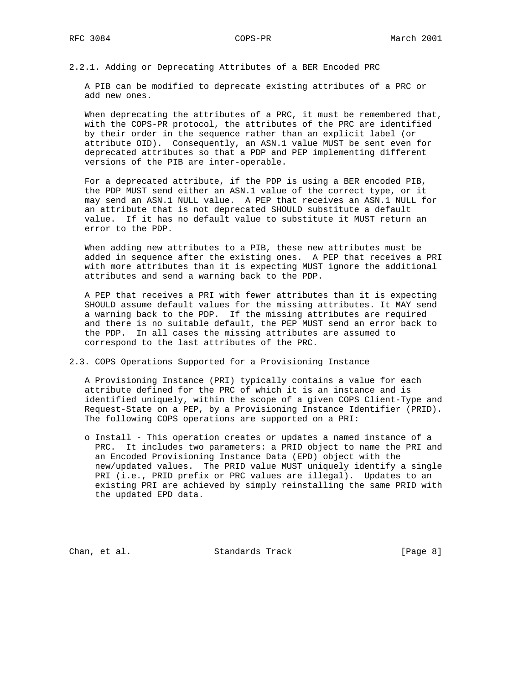2.2.1. Adding or Deprecating Attributes of a BER Encoded PRC

 A PIB can be modified to deprecate existing attributes of a PRC or add new ones.

When deprecating the attributes of a PRC, it must be remembered that, with the COPS-PR protocol, the attributes of the PRC are identified by their order in the sequence rather than an explicit label (or attribute OID). Consequently, an ASN.1 value MUST be sent even for deprecated attributes so that a PDP and PEP implementing different versions of the PIB are inter-operable.

 For a deprecated attribute, if the PDP is using a BER encoded PIB, the PDP MUST send either an ASN.1 value of the correct type, or it may send an ASN.1 NULL value. A PEP that receives an ASN.1 NULL for an attribute that is not deprecated SHOULD substitute a default value. If it has no default value to substitute it MUST return an error to the PDP.

 When adding new attributes to a PIB, these new attributes must be added in sequence after the existing ones. A PEP that receives a PRI with more attributes than it is expecting MUST ignore the additional attributes and send a warning back to the PDP.

 A PEP that receives a PRI with fewer attributes than it is expecting SHOULD assume default values for the missing attributes. It MAY send a warning back to the PDP. If the missing attributes are required and there is no suitable default, the PEP MUST send an error back to the PDP. In all cases the missing attributes are assumed to correspond to the last attributes of the PRC.

2.3. COPS Operations Supported for a Provisioning Instance

 A Provisioning Instance (PRI) typically contains a value for each attribute defined for the PRC of which it is an instance and is identified uniquely, within the scope of a given COPS Client-Type and Request-State on a PEP, by a Provisioning Instance Identifier (PRID). The following COPS operations are supported on a PRI:

 o Install - This operation creates or updates a named instance of a PRC. It includes two parameters: a PRID object to name the PRI and an Encoded Provisioning Instance Data (EPD) object with the new/updated values. The PRID value MUST uniquely identify a single PRI (i.e., PRID prefix or PRC values are illegal). Updates to an existing PRI are achieved by simply reinstalling the same PRID with the updated EPD data.

Chan, et al. Standards Track [Page 8]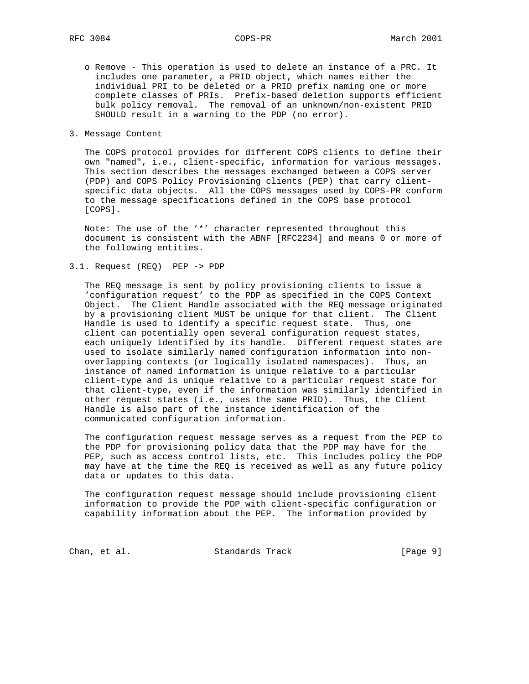- o Remove This operation is used to delete an instance of a PRC. It includes one parameter, a PRID object, which names either the individual PRI to be deleted or a PRID prefix naming one or more complete classes of PRIs. Prefix-based deletion supports efficient bulk policy removal. The removal of an unknown/non-existent PRID SHOULD result in a warning to the PDP (no error).
- 3. Message Content

 The COPS protocol provides for different COPS clients to define their own "named", i.e., client-specific, information for various messages. This section describes the messages exchanged between a COPS server (PDP) and COPS Policy Provisioning clients (PEP) that carry client specific data objects. All the COPS messages used by COPS-PR conform to the message specifications defined in the COPS base protocol [COPS].

 Note: The use of the '\*' character represented throughout this document is consistent with the ABNF [RFC2234] and means 0 or more of the following entities.

3.1. Request (REQ) PEP -> PDP

 The REQ message is sent by policy provisioning clients to issue a 'configuration request' to the PDP as specified in the COPS Context Object. The Client Handle associated with the REQ message originated by a provisioning client MUST be unique for that client. The Client Handle is used to identify a specific request state. Thus, one client can potentially open several configuration request states, each uniquely identified by its handle. Different request states are used to isolate similarly named configuration information into non overlapping contexts (or logically isolated namespaces). Thus, an instance of named information is unique relative to a particular client-type and is unique relative to a particular request state for that client-type, even if the information was similarly identified in other request states (i.e., uses the same PRID). Thus, the Client Handle is also part of the instance identification of the communicated configuration information.

 The configuration request message serves as a request from the PEP to the PDP for provisioning policy data that the PDP may have for the PEP, such as access control lists, etc. This includes policy the PDP may have at the time the REQ is received as well as any future policy data or updates to this data.

 The configuration request message should include provisioning client information to provide the PDP with client-specific configuration or capability information about the PEP. The information provided by

Chan, et al. Standards Track [Page 9]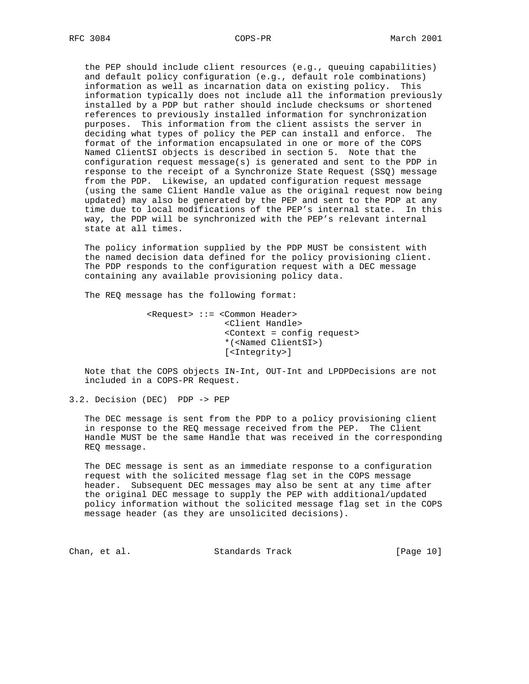the PEP should include client resources (e.g., queuing capabilities) and default policy configuration (e.g., default role combinations) information as well as incarnation data on existing policy. This information typically does not include all the information previously installed by a PDP but rather should include checksums or shortened references to previously installed information for synchronization purposes. This information from the client assists the server in deciding what types of policy the PEP can install and enforce. The format of the information encapsulated in one or more of the COPS Named ClientSI objects is described in section 5. Note that the configuration request message(s) is generated and sent to the PDP in response to the receipt of a Synchronize State Request (SSQ) message from the PDP. Likewise, an updated configuration request message (using the same Client Handle value as the original request now being updated) may also be generated by the PEP and sent to the PDP at any time due to local modifications of the PEP's internal state. In this way, the PDP will be synchronized with the PEP's relevant internal state at all times.

 The policy information supplied by the PDP MUST be consistent with the named decision data defined for the policy provisioning client. The PDP responds to the configuration request with a DEC message containing any available provisioning policy data.

The REQ message has the following format:

 <Request> ::= <Common Header> <Client Handle> <Context = config request> \*(<Named ClientSI>) [<Integrity>]

 Note that the COPS objects IN-Int, OUT-Int and LPDPDecisions are not included in a COPS-PR Request.

3.2. Decision (DEC) PDP -> PEP

 The DEC message is sent from the PDP to a policy provisioning client in response to the REQ message received from the PEP. The Client Handle MUST be the same Handle that was received in the corresponding REQ message.

 The DEC message is sent as an immediate response to a configuration request with the solicited message flag set in the COPS message header. Subsequent DEC messages may also be sent at any time after the original DEC message to supply the PEP with additional/updated policy information without the solicited message flag set in the COPS message header (as they are unsolicited decisions).

Chan, et al. Standards Track [Page 10]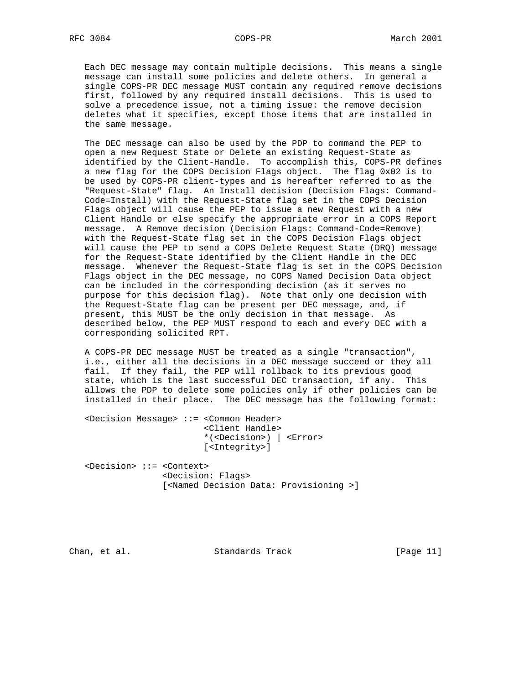Each DEC message may contain multiple decisions. This means a single message can install some policies and delete others. In general a single COPS-PR DEC message MUST contain any required remove decisions first, followed by any required install decisions. This is used to solve a precedence issue, not a timing issue: the remove decision deletes what it specifies, except those items that are installed in the same message.

 The DEC message can also be used by the PDP to command the PEP to open a new Request State or Delete an existing Request-State as identified by the Client-Handle. To accomplish this, COPS-PR defines a new flag for the COPS Decision Flags object. The flag 0x02 is to be used by COPS-PR client-types and is hereafter referred to as the "Request-State" flag. An Install decision (Decision Flags: Command- Code=Install) with the Request-State flag set in the COPS Decision Flags object will cause the PEP to issue a new Request with a new Client Handle or else specify the appropriate error in a COPS Report message. A Remove decision (Decision Flags: Command-Code=Remove) with the Request-State flag set in the COPS Decision Flags object will cause the PEP to send a COPS Delete Request State (DRQ) message for the Request-State identified by the Client Handle in the DEC message. Whenever the Request-State flag is set in the COPS Decision Flags object in the DEC message, no COPS Named Decision Data object can be included in the corresponding decision (as it serves no purpose for this decision flag). Note that only one decision with the Request-State flag can be present per DEC message, and, if present, this MUST be the only decision in that message. As described below, the PEP MUST respond to each and every DEC with a corresponding solicited RPT.

 A COPS-PR DEC message MUST be treated as a single "transaction", i.e., either all the decisions in a DEC message succeed or they all fail. If they fail, the PEP will rollback to its previous good state, which is the last successful DEC transaction, if any. This allows the PDP to delete some policies only if other policies can be installed in their place. The DEC message has the following format:

 <Decision Message> ::= <Common Header> <Client Handle> \*(<Decision>) | <Error> [<Integrity>]

 <Decision> ::= <Context> <Decision: Flags> [<Named Decision Data: Provisioning >]

Chan, et al. Standards Track [Page 11]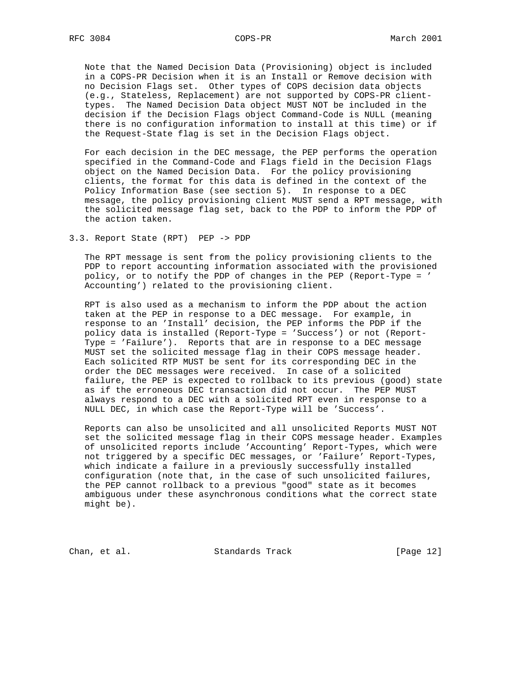Note that the Named Decision Data (Provisioning) object is included in a COPS-PR Decision when it is an Install or Remove decision with no Decision Flags set. Other types of COPS decision data objects (e.g., Stateless, Replacement) are not supported by COPS-PR client types. The Named Decision Data object MUST NOT be included in the decision if the Decision Flags object Command-Code is NULL (meaning there is no configuration information to install at this time) or if the Request-State flag is set in the Decision Flags object.

 For each decision in the DEC message, the PEP performs the operation specified in the Command-Code and Flags field in the Decision Flags object on the Named Decision Data. For the policy provisioning clients, the format for this data is defined in the context of the Policy Information Base (see section 5). In response to a DEC message, the policy provisioning client MUST send a RPT message, with the solicited message flag set, back to the PDP to inform the PDP of the action taken.

3.3. Report State (RPT) PEP -> PDP

 The RPT message is sent from the policy provisioning clients to the PDP to report accounting information associated with the provisioned policy, or to notify the PDP of changes in the PEP (Report-Type = ' Accounting') related to the provisioning client.

 RPT is also used as a mechanism to inform the PDP about the action taken at the PEP in response to a DEC message. For example, in response to an 'Install' decision, the PEP informs the PDP if the policy data is installed (Report-Type = 'Success') or not (Report- Type = 'Failure'). Reports that are in response to a DEC message MUST set the solicited message flag in their COPS message header. Each solicited RTP MUST be sent for its corresponding DEC in the order the DEC messages were received. In case of a solicited failure, the PEP is expected to rollback to its previous (good) state as if the erroneous DEC transaction did not occur. The PEP MUST always respond to a DEC with a solicited RPT even in response to a NULL DEC, in which case the Report-Type will be 'Success'.

 Reports can also be unsolicited and all unsolicited Reports MUST NOT set the solicited message flag in their COPS message header. Examples of unsolicited reports include 'Accounting' Report-Types, which were not triggered by a specific DEC messages, or 'Failure' Report-Types, which indicate a failure in a previously successfully installed configuration (note that, in the case of such unsolicited failures, the PEP cannot rollback to a previous "good" state as it becomes ambiguous under these asynchronous conditions what the correct state might be).

Chan, et al. Standards Track [Page 12]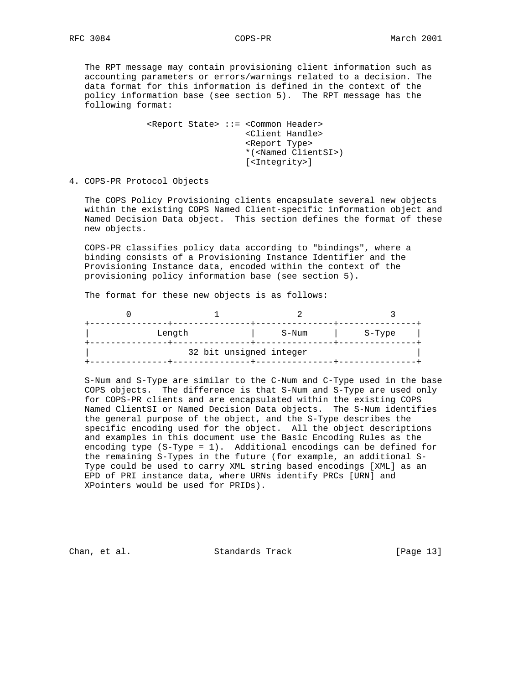The RPT message may contain provisioning client information such as accounting parameters or errors/warnings related to a decision. The data format for this information is defined in the context of the policy information base (see section 5). The RPT message has the following format:

> <Report State> ::= <Common Header> <Client Handle> <Report Type> \*(<Named ClientSI>) [<Integrity>]

4. COPS-PR Protocol Objects

 The COPS Policy Provisioning clients encapsulate several new objects within the existing COPS Named Client-specific information object and Named Decision Data object. This section defines the format of these new objects.

 COPS-PR classifies policy data according to "bindings", where a binding consists of a Provisioning Instance Identifier and the Provisioning Instance data, encoded within the context of the provisioning policy information base (see section 5).

The format for these new objects is as follows:

| Length                  | S-Num | S-Type |
|-------------------------|-------|--------|
| 32 bit unsigned integer |       |        |

 S-Num and S-Type are similar to the C-Num and C-Type used in the base COPS objects. The difference is that S-Num and S-Type are used only for COPS-PR clients and are encapsulated within the existing COPS Named ClientSI or Named Decision Data objects. The S-Num identifies the general purpose of the object, and the S-Type describes the specific encoding used for the object. All the object descriptions and examples in this document use the Basic Encoding Rules as the encoding type (S-Type = 1). Additional encodings can be defined for the remaining S-Types in the future (for example, an additional S- Type could be used to carry XML string based encodings [XML] as an EPD of PRI instance data, where URNs identify PRCs [URN] and XPointers would be used for PRIDs).

Chan, et al. Standards Track [Page 13]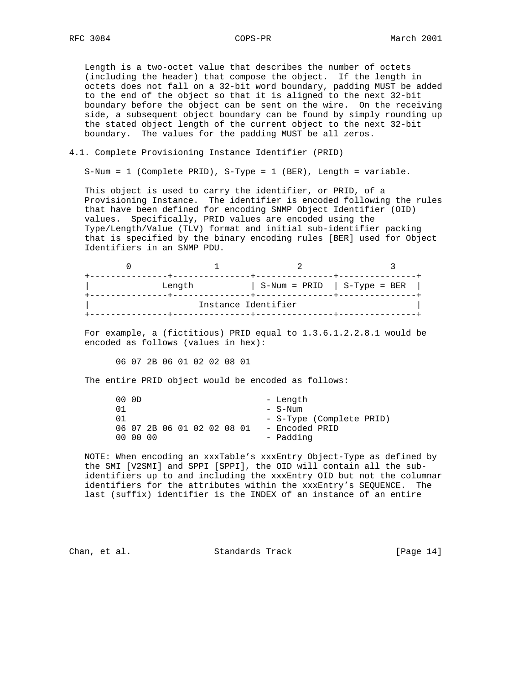Length is a two-octet value that describes the number of octets (including the header) that compose the object. If the length in octets does not fall on a 32-bit word boundary, padding MUST be added to the end of the object so that it is aligned to the next 32-bit boundary before the object can be sent on the wire. On the receiving side, a subsequent object boundary can be found by simply rounding up the stated object length of the current object to the next 32-bit boundary. The values for the padding MUST be all zeros.

### 4.1. Complete Provisioning Instance Identifier (PRID)

S-Num = 1 (Complete PRID), S-Type = 1 (BER), Length = variable.

 This object is used to carry the identifier, or PRID, of a Provisioning Instance. The identifier is encoded following the rules that have been defined for encoding SNMP Object Identifier (OID) values. Specifically, PRID values are encoded using the Type/Length/Value (TLV) format and initial sub-identifier packing that is specified by the binary encoding rules [BER] used for Object Identifiers in an SNMP PDU.

|                     | Length | $S-Num = PRID$   $S-Type = BER$ |  |  |  |  |  |  |
|---------------------|--------|---------------------------------|--|--|--|--|--|--|
| Instance Identifier |        |                                 |  |  |  |  |  |  |

 For example, a (fictitious) PRID equal to 1.3.6.1.2.2.8.1 would be encoded as follows (values in hex):

06 07 2B 06 01 02 02 08 01

The entire PRID object would be encoded as follows:

| 00 OD |          |                            |  |  |  | - Length                 |
|-------|----------|----------------------------|--|--|--|--------------------------|
| 01    |          |                            |  |  |  | - S-Num                  |
| 01    |          |                            |  |  |  | - S-Type (Complete PRID) |
|       |          | 06 07 2B 06 01 02 02 08 01 |  |  |  | - Encoded PRID           |
|       | 00 00 00 |                            |  |  |  | - Padding                |

 NOTE: When encoding an xxxTable's xxxEntry Object-Type as defined by the SMI [V2SMI] and SPPI [SPPI], the OID will contain all the sub identifiers up to and including the xxxEntry OID but not the columnar identifiers for the attributes within the xxxEntry's SEQUENCE. The last (suffix) identifier is the INDEX of an instance of an entire

Chan, et al. Standards Track [Page 14]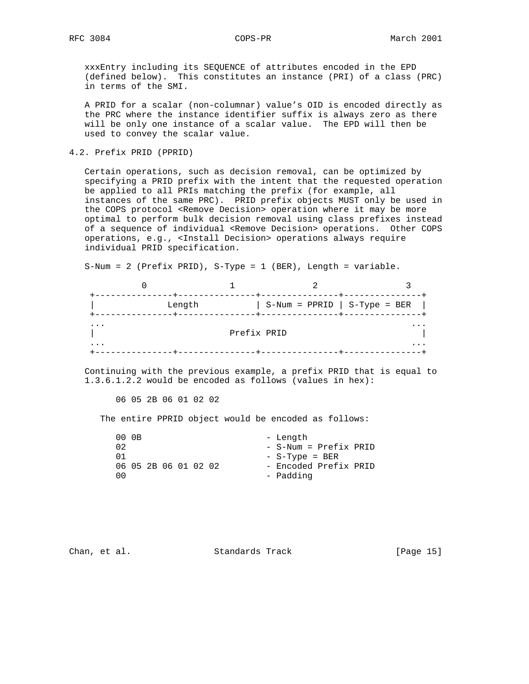xxxEntry including its SEQUENCE of attributes encoded in the EPD (defined below). This constitutes an instance (PRI) of a class (PRC) in terms of the SMI.

 A PRID for a scalar (non-columnar) value's OID is encoded directly as the PRC where the instance identifier suffix is always zero as there will be only one instance of a scalar value. The EPD will then be used to convey the scalar value.

4.2. Prefix PRID (PPRID)

 Certain operations, such as decision removal, can be optimized by specifying a PRID prefix with the intent that the requested operation be applied to all PRIs matching the prefix (for example, all instances of the same PRC). PRID prefix objects MUST only be used in the COPS protocol <Remove Decision> operation where it may be more optimal to perform bulk decision removal using class prefixes instead of a sequence of individual <Remove Decision> operations. Other COPS operations, e.g., <Install Decision> operations always require individual PRID specification.

 $0$  1 2 3 +---------------+---------------+---------------+---------------+ | Length | S-Num = PPRID | S-Type = BER | +---------------+---------------+---------------+---------------+ ... ... | Prefix PRID |

 ... ... +---------------+---------------+---------------+---------------+

S-Num = 2 (Prefix PRID), S-Type = 1 (BER), Length = variable.

 Continuing with the previous example, a prefix PRID that is equal to 1.3.6.1.2.2 would be encoded as follows (values in hex):

06 05 2B 06 01 02 02

The entire PPRID object would be encoded as follows:

|     | 00 OB                |  |  | - Length              |  |
|-----|----------------------|--|--|-----------------------|--|
| 02  |                      |  |  | - S-Num = Prefix PRID |  |
| በ 1 |                      |  |  | $-$ S-Type = BER      |  |
|     | 06 05 2B 06 01 02 02 |  |  | - Encoded Prefix PRID |  |
| nΩ  |                      |  |  | - Padding             |  |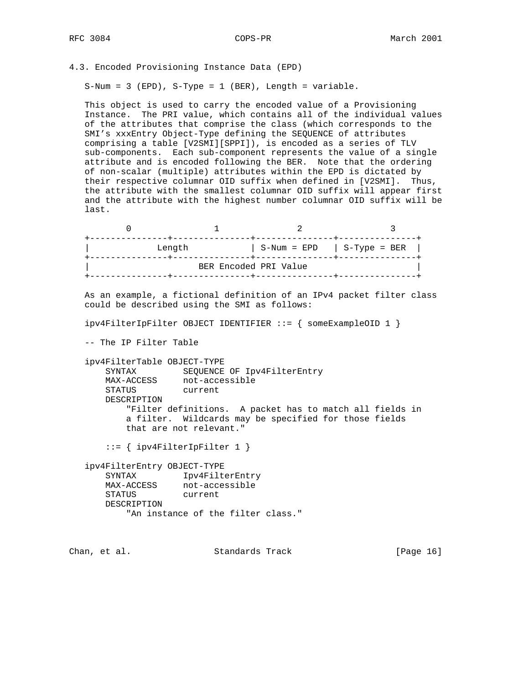4.3. Encoded Provisioning Instance Data (EPD)

 $S-Num = 3 (EPD)$ ,  $S-Type = 1 (BER)$ , Length = variable.

 This object is used to carry the encoded value of a Provisioning Instance. The PRI value, which contains all of the individual values of the attributes that comprise the class (which corresponds to the SMI's xxxEntry Object-Type defining the SEQUENCE of attributes comprising a table [V2SMI][SPPI]), is encoded as a series of TLV sub-components. Each sub-component represents the value of a single attribute and is encoded following the BER. Note that the ordering of non-scalar (multiple) attributes within the EPD is dictated by their respective columnar OID suffix when defined in [V2SMI]. Thus, the attribute with the smallest columnar OID suffix will appear first and the attribute with the highest number columnar OID suffix will be last.

| Length |                       | $S-Num = EPD$   $S-Type = BER$ |
|--------|-----------------------|--------------------------------|
|        | BER Encoded PRI Value |                                |

 As an example, a fictional definition of an IPv4 packet filter class could be described using the SMI as follows:

ipv4FilterIpFilter OBJECT IDENTIFIER ::= { someExampleOID 1 }

-- The IP Filter Table

 ipv4FilterTable OBJECT-TYPE SYNTAX SEQUENCE OF Ipv4FilterEntry MAX-ACCESS not-accessible STATUS current DESCRIPTION "Filter definitions. A packet has to match all fields in a filter. Wildcards may be specified for those fields that are not relevant."

::= { ipv4FilterIpFilter 1 }

 ipv4FilterEntry OBJECT-TYPE SYNTAX Ipv4FilterEntry MAX-ACCESS not-accessible STATUS current DESCRIPTION "An instance of the filter class."

Chan, et al. Standards Track [Page 16]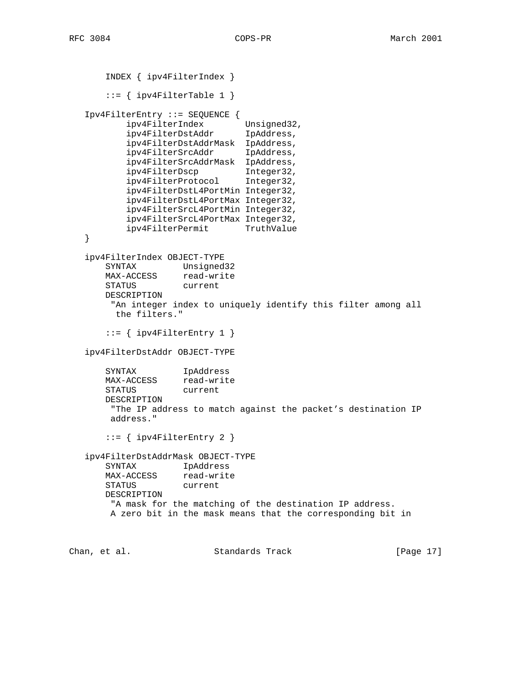```
 INDEX { ipv4FilterIndex }
       ::= { ipv4FilterTable 1 }
   Ipv4FilterEntry ::= SEQUENCE {
 ipv4FilterIndex Unsigned32,
 ipv4FilterDstAddr IpAddress,
           ipv4FilterDstAddrMask IpAddress,
           ipv4FilterSrcAddr IpAddress,
           ipv4FilterSrcAddrMask IpAddress,
          ipv4FilterDscp Integer32,<br>ipv4FilterProtocol Integer32,
          ipv4FilterProtocol
           ipv4FilterDstL4PortMin Integer32,
           ipv4FilterDstL4PortMax Integer32,
           ipv4FilterSrcL4PortMin Integer32,
           ipv4FilterSrcL4PortMax Integer32,
          ipv4FilterPermit
   }
   ipv4FilterIndex OBJECT-TYPE
       SYNTAX Unsigned32
       MAX-ACCESS read-write
       STATUS current
       DESCRIPTION
        "An integer index to uniquely identify this filter among all
         the filters."
      ::= { ipv4FilterEntry 1 }
   ipv4FilterDstAddr OBJECT-TYPE
       SYNTAX IpAddress
       MAX-ACCESS read-write
       STATUS current
       DESCRIPTION
        "The IP address to match against the packet's destination IP
        address."
       ::= { ipv4FilterEntry 2 }
   ipv4FilterDstAddrMask OBJECT-TYPE
       SYNTAX IpAddress
       MAX-ACCESS read-write
       STATUS current
       DESCRIPTION
        "A mask for the matching of the destination IP address.
        A zero bit in the mask means that the corresponding bit in
Chan, et al. Standards Track [Page 17]
```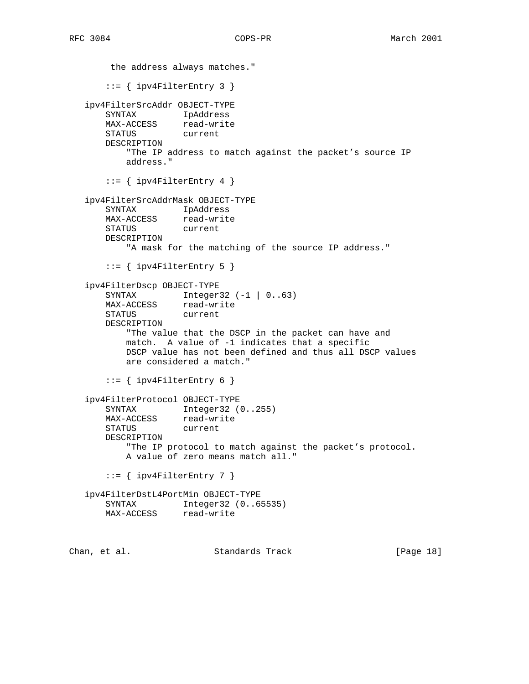```
 the address always matches."
       ::= { ipv4FilterEntry 3 }
   ipv4FilterSrcAddr OBJECT-TYPE
      SYNTAX IpAddress<br>MAX-ACCESS read-write
      MAX-ACCESS
       STATUS current
       DESCRIPTION
           "The IP address to match against the packet's source IP
           address."
      ::= { ipv4FilterEntry 4 }
   ipv4FilterSrcAddrMask OBJECT-TYPE
      SYNTAX IpAddress<br>MAX-ACCESS read-write
      MAX-ACCESS
       STATUS current
       DESCRIPTION
           "A mask for the matching of the source IP address."
      ::= { ipv4FilterEntry 5 }
   ipv4FilterDscp OBJECT-TYPE
       SYNTAX Integer32 (-1 | 0..63)
      MAX-ACCESS read-write
       STATUS current
       DESCRIPTION
           "The value that the DSCP in the packet can have and
           match. A value of -1 indicates that a specific
           DSCP value has not been defined and thus all DSCP values
           are considered a match."
      ::= { ipv4FilterEntry 6 }
   ipv4FilterProtocol OBJECT-TYPE
      SYNTAX Integer32 (0..255)
       MAX-ACCESS read-write
       STATUS current
       DESCRIPTION
           "The IP protocol to match against the packet's protocol.
           A value of zero means match all."
      ::= { ipv4FilterEntry 7 }
   ipv4FilterDstL4PortMin OBJECT-TYPE
       SYNTAX Integer32 (0..65535)
       MAX-ACCESS read-write
Chan, et al. Standards Track [Page 18]
```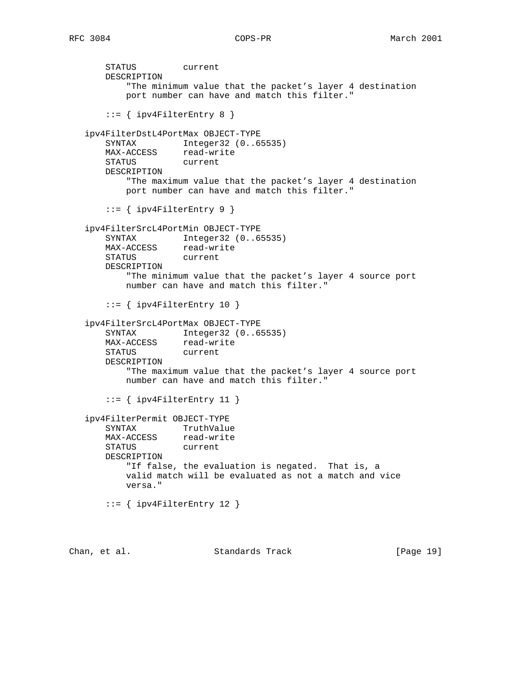STATUS current DESCRIPTION "The minimum value that the packet's layer 4 destination port number can have and match this filter."  $::=$  { ipv4FilterEntry 8 } ipv4FilterDstL4PortMax OBJECT-TYPE SYNTAX Integer32 (0..65535) MAX-ACCESS read-write STATUS current DESCRIPTION "The maximum value that the packet's layer 4 destination port number can have and match this filter." ::= { ipv4FilterEntry 9 } ipv4FilterSrcL4PortMin OBJECT-TYPE SYNTAX Integer32 (0..65535) MAX-ACCESS read-write STATUS current DESCRIPTION "The minimum value that the packet's layer 4 source port number can have and match this filter."  $::=$  { ipv4FilterEntry 10 } ipv4FilterSrcL4PortMax OBJECT-TYPE SYNTAX Integer32 (0..65535) MAX-ACCESS read-write STATUS current DESCRIPTION "The maximum value that the packet's layer 4 source port number can have and match this filter."  $::=$  { ipv4FilterEntry 11 } ipv4FilterPermit OBJECT-TYPE SYNTAX TruthValue<br>MAX-ACCESS read-write MAX-ACCESS STATUS current DESCRIPTION "If false, the evaluation is negated. That is, a valid match will be evaluated as not a match and vice versa." ::= { ipv4FilterEntry 12 } Chan, et al. Standards Track [Page 19]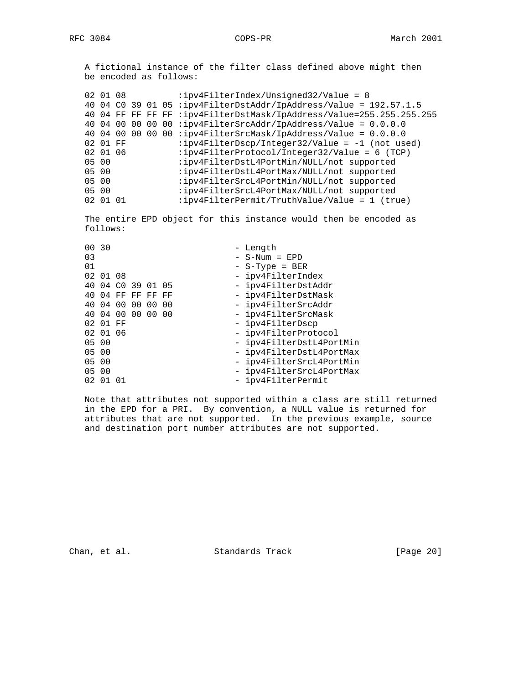A fictional instance of the filter class defined above might then be encoded as follows:

|       | 02 01 08 |                 |  | :ipv4FilterIndex/Unsigned32/Value = $8$                              |
|-------|----------|-----------------|--|----------------------------------------------------------------------|
|       |          |                 |  | 40 04 C0 39 01 05 :ipv4FilterDstAddr/IpAddress/Value = 192.57.1.5    |
|       |          |                 |  | 40 04 FF FF FF FF :ipv4FilterDstMask/IpAddress/Value=255.255.255.255 |
|       | 40 04 00 | 00              |  | 00 00 : ipv4FilterSrcAddr/IpAddress/Value = $0.0.0.0$                |
|       | 40 04 00 | 00 <sup>o</sup> |  | 00 00 :ipv4FilterSrcMask/IpAddress/Value = $0.0.0.0$                 |
|       | 02 01 FF |                 |  | :ipv4FilterDscp/Integer32/Value = $-1$ (not used)                    |
|       | 02 01 06 |                 |  | $:ipv4Filter Protocol/Integer32/Value = 6 (TCP)$                     |
| 05 00 |          |                 |  | :ipv4FilterDstL4PortMin/NULL/not supported                           |
| 05 00 |          |                 |  | :ipv4FilterDstL4PortMax/NULL/not supported                           |
| 05 00 |          |                 |  | :ipv4FilterSrcL4PortMin/NULL/not supported                           |
| 05 00 |          |                 |  | :ipv4FilterSrcL4PortMax/NULL/not supported                           |
|       | 02 01 01 |                 |  | :ipv4FilterPermit/TruthValue/Value = 1 (true)                        |
|       |          |                 |  |                                                                      |

 The entire EPD object for this instance would then be encoded as follows:

| 00 30 |          |                   |  |  | - Length                 |
|-------|----------|-------------------|--|--|--------------------------|
| 03    |          |                   |  |  | $-$ S-Num = EPD          |
| 01    |          |                   |  |  | $-$ S-Type = BER         |
|       | 02 01 08 |                   |  |  | - ipv4FilterIndex        |
|       |          | 40 04 CO 39 01 05 |  |  | - ipv4FilterDstAddr      |
|       |          | 40 04 FF FF FF FF |  |  | - ipv4FilterDstMask      |
|       |          | 40 04 00 00 00 00 |  |  | - ipv4FilterSrcAddr      |
|       |          | 40 04 00 00 00 00 |  |  | - ipv4FilterSrcMask      |
|       | 02 01 FF |                   |  |  | - ipv4FilterDscp         |
|       | 02 01 06 |                   |  |  | - ipv4FilterProtocol     |
| 05 00 |          |                   |  |  | - ipv4FilterDstL4PortMin |
| 05 00 |          |                   |  |  | - ipv4FilterDstL4PortMax |
| 05 00 |          |                   |  |  | - ipv4FilterSrcL4PortMin |
| 05 00 |          |                   |  |  | - ipv4FilterSrcL4PortMax |
|       | 02 01 01 |                   |  |  | - ipv4FilterPermit       |
|       |          |                   |  |  |                          |

 Note that attributes not supported within a class are still returned in the EPD for a PRI. By convention, a NULL value is returned for attributes that are not supported. In the previous example, source and destination port number attributes are not supported.

Chan, et al. Standards Track [Page 20]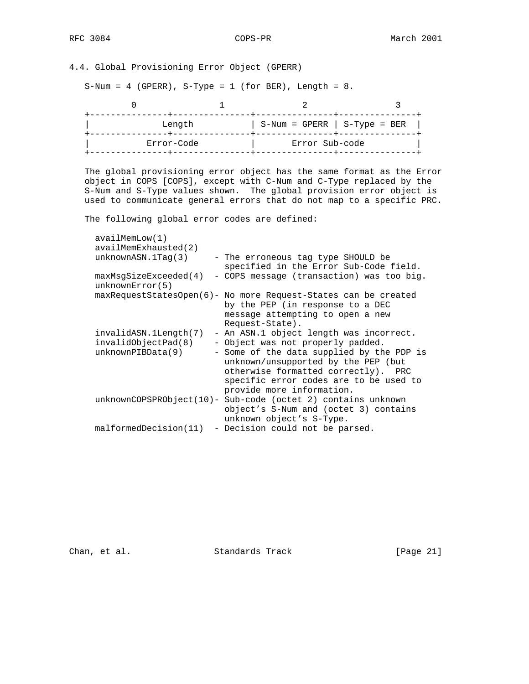# 4.4. Global Provisioning Error Object (GPERR)

 $S-Num = 4$  (GPERR),  $S-Type = 1$  (for BER), Length = 8.

| Length     | $S-Num = GPERR$   $S-Type = BER$ |  |
|------------|----------------------------------|--|
| Error-Code | Error Sub-code                   |  |

 The global provisioning error object has the same format as the Error object in COPS [COPS], except with C-Num and C-Type replaced by the S-Num and S-Type values shown. The global provision error object is used to communicate general errors that do not map to a specific PRC.

The following global error codes are defined:

| availMemLow(1)                                                    |                                                                                                                                                                                                                                                                                |
|-------------------------------------------------------------------|--------------------------------------------------------------------------------------------------------------------------------------------------------------------------------------------------------------------------------------------------------------------------------|
| $available$ $1$ MemExhausted(2)                                   |                                                                                                                                                                                                                                                                                |
| unknownASN.1Taq(3)                                                | - The erroneous tag type SHOULD be<br>specified in the Error Sub-Code field.                                                                                                                                                                                                   |
| maxMsgSizeExeceded(4)<br>unknownError(5)                          | - COPS message (transaction) was too big.                                                                                                                                                                                                                                      |
|                                                                   | maxRequestStatesOpen(6)- No more Request-States can be created<br>by the PEP (in response to a DEC<br>message attempting to open a new<br>Request-State).                                                                                                                      |
| invalidASN.1Length(7)<br>invalidObjectPad(8)<br>unknownPIBData(9) | - An ASN.1 object length was incorrect.<br>- Object was not properly padded.<br>- Some of the data supplied by the PDP is<br>unknown/unsupported by the PEP (but<br>otherwise formatted correctly). PRC<br>specific error codes are to be used to<br>provide more information. |
|                                                                   | unknownCOPSPRObject(10)- Sub-code (octet 2) contains unknown<br>object's S-Num and (octet 3) contains<br>unknown object's S-Type.                                                                                                                                              |
| malformedDecision(11)                                             | - Decision could not be parsed.                                                                                                                                                                                                                                                |

Chan, et al. Standards Track [Page 21]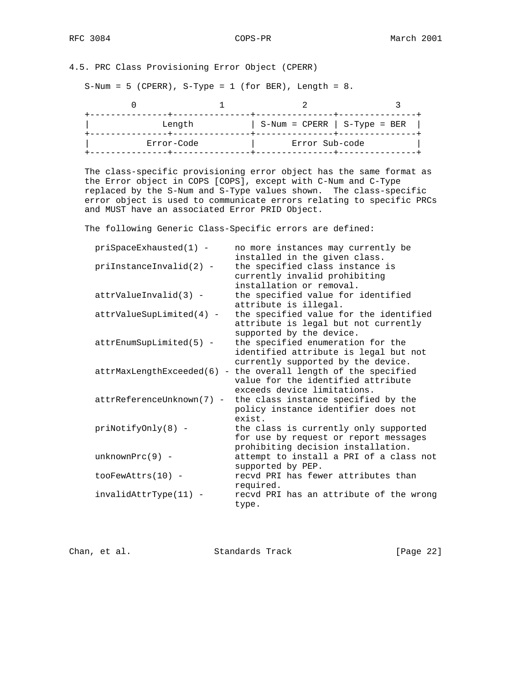# 4.5. PRC Class Provisioning Error Object (CPERR)

 $S-Num = 5$  (CPERR),  $S-Type = 1$  (for BER), Length = 8.

| Length     | $S-Num = CPERR$   $S-Type = BER$ |  |
|------------|----------------------------------|--|
| Error-Code | Error Sub-code                   |  |

 The class-specific provisioning error object has the same format as the Error object in COPS [COPS], except with C-Num and C-Type replaced by the S-Num and S-Type values shown. The class-specific error object is used to communicate errors relating to specific PRCs and MUST have an associated Error PRID Object.

The following Generic Class-Specific errors are defined:

| $priSpaceExhausted(1) -$   | no more instances may currently be                             |
|----------------------------|----------------------------------------------------------------|
|                            | installed in the given class.                                  |
| priInstanceInvalid(2) -    | the specified class instance is                                |
|                            | currently invalid prohibiting                                  |
|                            | installation or removal.                                       |
| $attrValueInvalid(3) -$    | the specified value for identified                             |
|                            | attribute is illegal.                                          |
| $attrValueSupLimited(4) -$ | the specified value for the identified                         |
|                            | attribute is legal but not currently                           |
|                            | supported by the device.                                       |
| $attrEnumSupLimited(5) -$  | the specified enumeration for the                              |
|                            | identified attribute is legal but not                          |
|                            | currently supported by the device.                             |
|                            | attrMaxLengthExceeded(6) - the overall length of the specified |
|                            | value for the identified attribute                             |
|                            | exceeds device limitations.                                    |
| attrReferenceUnknown(7) -  | the class instance specified by the                            |
|                            | policy instance identifier does not                            |
|                            | exist.                                                         |
| $priNotifyOnly(8) -$       | the class is currently only supported                          |
|                            | for use by request or report messages                          |
|                            | prohibiting decision installation.                             |
| $unknownPrc(9)$ -          | attempt to install a PRI of a class not                        |
|                            | supported by PEP.                                              |
| $tooFewAttrs(10) -$        | recyd PRI has fewer attributes than                            |
|                            | required.                                                      |
| invalidAttrType(11) -      | recyd PRI has an attribute of the wrong                        |
|                            | type.                                                          |
|                            |                                                                |

Chan, et al. Standards Track [Page 22]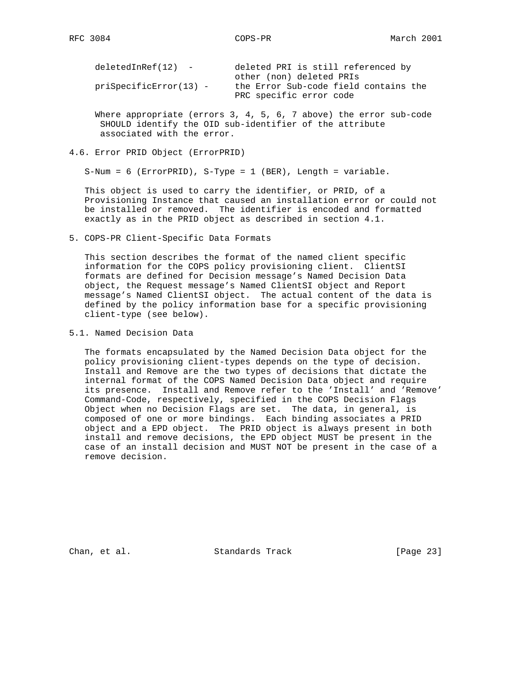| $deletedInRef(12) -$   | deleted PRI is still referenced by    |
|------------------------|---------------------------------------|
|                        | other (non) deleted PRIs              |
| priSpecificError(13) - | the Error Sub-code field contains the |
|                        | PRC specific error code               |

 Where appropriate (errors 3, 4, 5, 6, 7 above) the error sub-code SHOULD identify the OID sub-identifier of the attribute associated with the error.

4.6. Error PRID Object (ErrorPRID)

S-Num = 6 (ErrorPRID), S-Type = 1 (BER), Length = variable.

 This object is used to carry the identifier, or PRID, of a Provisioning Instance that caused an installation error or could not be installed or removed. The identifier is encoded and formatted exactly as in the PRID object as described in section 4.1.

5. COPS-PR Client-Specific Data Formats

 This section describes the format of the named client specific information for the COPS policy provisioning client. ClientSI formats are defined for Decision message's Named Decision Data object, the Request message's Named ClientSI object and Report message's Named ClientSI object. The actual content of the data is defined by the policy information base for a specific provisioning client-type (see below).

5.1. Named Decision Data

 The formats encapsulated by the Named Decision Data object for the policy provisioning client-types depends on the type of decision. Install and Remove are the two types of decisions that dictate the internal format of the COPS Named Decision Data object and require its presence. Install and Remove refer to the 'Install' and 'Remove' Command-Code, respectively, specified in the COPS Decision Flags Object when no Decision Flags are set. The data, in general, is composed of one or more bindings. Each binding associates a PRID object and a EPD object. The PRID object is always present in both install and remove decisions, the EPD object MUST be present in the case of an install decision and MUST NOT be present in the case of a remove decision.

Chan, et al. Standards Track [Page 23]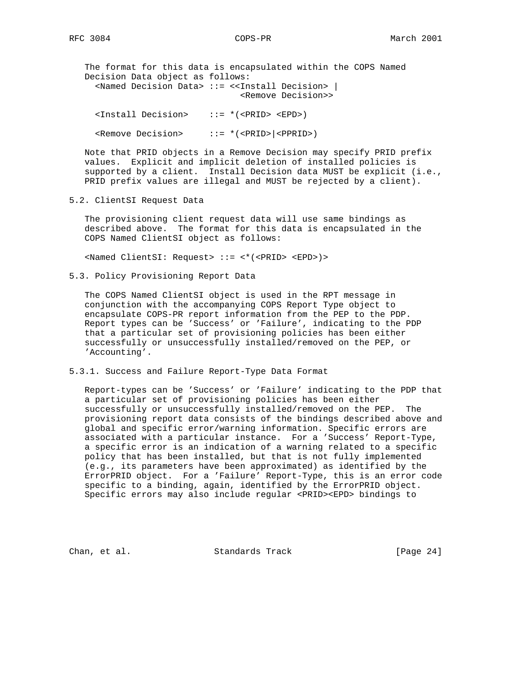The format for this data is encapsulated within the COPS Named Decision Data object as follows: <Named Decision Data> ::= <<Install Decision> | <Remove Decision>> <Install Decision> ::= \*(<PRID> <EPD>)

<Remove Decision> ::= \*(<PRID>|<PPRID>)

 Note that PRID objects in a Remove Decision may specify PRID prefix values. Explicit and implicit deletion of installed policies is supported by a client. Install Decision data MUST be explicit (i.e., PRID prefix values are illegal and MUST be rejected by a client).

### 5.2. ClientSI Request Data

 The provisioning client request data will use same bindings as described above. The format for this data is encapsulated in the COPS Named ClientSI object as follows:

<Named ClientSI: Request> ::= <\*(<PRID> <EPD>)>

5.3. Policy Provisioning Report Data

 The COPS Named ClientSI object is used in the RPT message in conjunction with the accompanying COPS Report Type object to encapsulate COPS-PR report information from the PEP to the PDP. Report types can be 'Success' or 'Failure', indicating to the PDP that a particular set of provisioning policies has been either successfully or unsuccessfully installed/removed on the PEP, or 'Accounting'.

5.3.1. Success and Failure Report-Type Data Format

 Report-types can be 'Success' or 'Failure' indicating to the PDP that a particular set of provisioning policies has been either successfully or unsuccessfully installed/removed on the PEP. The provisioning report data consists of the bindings described above and global and specific error/warning information. Specific errors are associated with a particular instance. For a 'Success' Report-Type, a specific error is an indication of a warning related to a specific policy that has been installed, but that is not fully implemented (e.g., its parameters have been approximated) as identified by the ErrorPRID object. For a 'Failure' Report-Type, this is an error code specific to a binding, again, identified by the ErrorPRID object. Specific errors may also include regular <PRID><EPD> bindings to

Chan, et al. Standards Track [Page 24]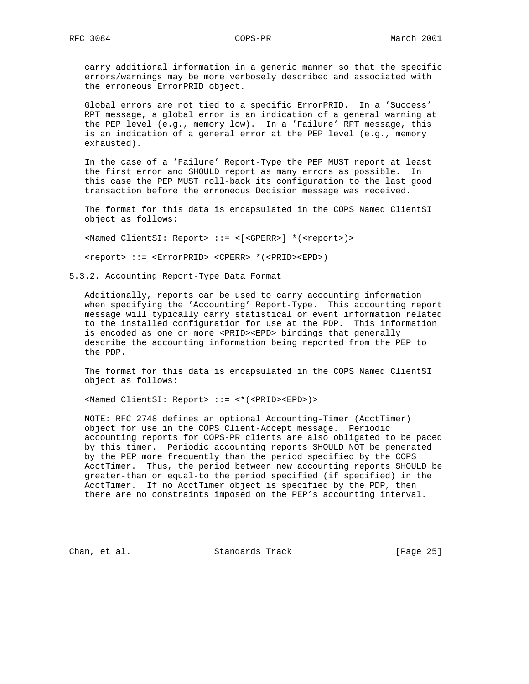carry additional information in a generic manner so that the specific errors/warnings may be more verbosely described and associated with the erroneous ErrorPRID object.

 Global errors are not tied to a specific ErrorPRID. In a 'Success' RPT message, a global error is an indication of a general warning at the PEP level (e.g., memory low). In a 'Failure' RPT message, this is an indication of a general error at the PEP level (e.g., memory exhausted).

 In the case of a 'Failure' Report-Type the PEP MUST report at least the first error and SHOULD report as many errors as possible. In this case the PEP MUST roll-back its configuration to the last good transaction before the erroneous Decision message was received.

 The format for this data is encapsulated in the COPS Named ClientSI object as follows:

<Named ClientSI: Report> ::= <[<GPERR>] \*(<report>)>

<report> ::= <ErrorPRID> <CPERR> \*(<PRID><EPD>)

5.3.2. Accounting Report-Type Data Format

 Additionally, reports can be used to carry accounting information when specifying the 'Accounting' Report-Type. This accounting report message will typically carry statistical or event information related to the installed configuration for use at the PDP. This information is encoded as one or more <PRID><EPD> bindings that generally describe the accounting information being reported from the PEP to the PDP.

 The format for this data is encapsulated in the COPS Named ClientSI object as follows:

<Named ClientSI: Report> ::= <\*(<PRID><EPD>)>

 NOTE: RFC 2748 defines an optional Accounting-Timer (AcctTimer) object for use in the COPS Client-Accept message. Periodic accounting reports for COPS-PR clients are also obligated to be paced by this timer. Periodic accounting reports SHOULD NOT be generated by the PEP more frequently than the period specified by the COPS AcctTimer. Thus, the period between new accounting reports SHOULD be greater-than or equal-to the period specified (if specified) in the AcctTimer. If no AcctTimer object is specified by the PDP, then there are no constraints imposed on the PEP's accounting interval.

Chan, et al. Standards Track [Page 25]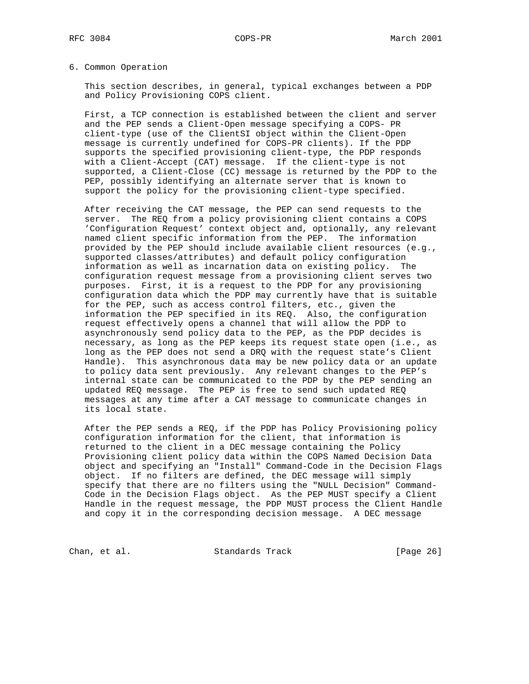### 6. Common Operation

 This section describes, in general, typical exchanges between a PDP and Policy Provisioning COPS client.

 First, a TCP connection is established between the client and server and the PEP sends a Client-Open message specifying a COPS- PR client-type (use of the ClientSI object within the Client-Open message is currently undefined for COPS-PR clients). If the PDP supports the specified provisioning client-type, the PDP responds with a Client-Accept (CAT) message. If the client-type is not supported, a Client-Close (CC) message is returned by the PDP to the PEP, possibly identifying an alternate server that is known to support the policy for the provisioning client-type specified.

 After receiving the CAT message, the PEP can send requests to the server. The REQ from a policy provisioning client contains a COPS 'Configuration Request' context object and, optionally, any relevant named client specific information from the PEP. The information provided by the PEP should include available client resources (e.g., supported classes/attributes) and default policy configuration information as well as incarnation data on existing policy. The configuration request message from a provisioning client serves two purposes. First, it is a request to the PDP for any provisioning configuration data which the PDP may currently have that is suitable for the PEP, such as access control filters, etc., given the information the PEP specified in its REQ. Also, the configuration request effectively opens a channel that will allow the PDP to asynchronously send policy data to the PEP, as the PDP decides is necessary, as long as the PEP keeps its request state open (i.e., as long as the PEP does not send a DRQ with the request state's Client Handle). This asynchronous data may be new policy data or an update to policy data sent previously. Any relevant changes to the PEP's internal state can be communicated to the PDP by the PEP sending an updated REQ message. The PEP is free to send such updated REQ messages at any time after a CAT message to communicate changes in its local state.

 After the PEP sends a REQ, if the PDP has Policy Provisioning policy configuration information for the client, that information is returned to the client in a DEC message containing the Policy Provisioning client policy data within the COPS Named Decision Data object and specifying an "Install" Command-Code in the Decision Flags object. If no filters are defined, the DEC message will simply specify that there are no filters using the "NULL Decision" Command- Code in the Decision Flags object. As the PEP MUST specify a Client Handle in the request message, the PDP MUST process the Client Handle and copy it in the corresponding decision message. A DEC message

Chan, et al. Standards Track [Page 26]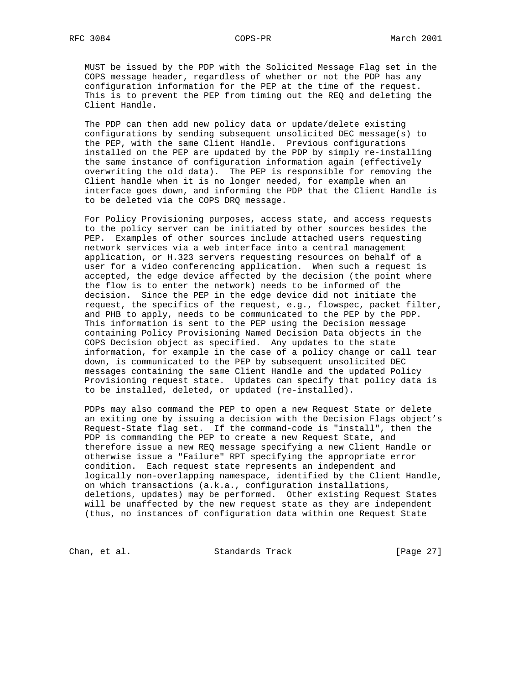MUST be issued by the PDP with the Solicited Message Flag set in the COPS message header, regardless of whether or not the PDP has any configuration information for the PEP at the time of the request. This is to prevent the PEP from timing out the REQ and deleting the Client Handle.

 The PDP can then add new policy data or update/delete existing configurations by sending subsequent unsolicited DEC message(s) to the PEP, with the same Client Handle. Previous configurations installed on the PEP are updated by the PDP by simply re-installing the same instance of configuration information again (effectively overwriting the old data). The PEP is responsible for removing the Client handle when it is no longer needed, for example when an interface goes down, and informing the PDP that the Client Handle is to be deleted via the COPS DRQ message.

 For Policy Provisioning purposes, access state, and access requests to the policy server can be initiated by other sources besides the PEP. Examples of other sources include attached users requesting network services via a web interface into a central management application, or H.323 servers requesting resources on behalf of a user for a video conferencing application. When such a request is accepted, the edge device affected by the decision (the point where the flow is to enter the network) needs to be informed of the decision. Since the PEP in the edge device did not initiate the request, the specifics of the request, e.g., flowspec, packet filter, and PHB to apply, needs to be communicated to the PEP by the PDP. This information is sent to the PEP using the Decision message containing Policy Provisioning Named Decision Data objects in the COPS Decision object as specified. Any updates to the state information, for example in the case of a policy change or call tear down, is communicated to the PEP by subsequent unsolicited DEC messages containing the same Client Handle and the updated Policy Provisioning request state. Updates can specify that policy data is to be installed, deleted, or updated (re-installed).

 PDPs may also command the PEP to open a new Request State or delete an exiting one by issuing a decision with the Decision Flags object's Request-State flag set. If the command-code is "install", then the PDP is commanding the PEP to create a new Request State, and therefore issue a new REQ message specifying a new Client Handle or otherwise issue a "Failure" RPT specifying the appropriate error condition. Each request state represents an independent and logically non-overlapping namespace, identified by the Client Handle, on which transactions (a.k.a., configuration installations, deletions, updates) may be performed. Other existing Request States will be unaffected by the new request state as they are independent (thus, no instances of configuration data within one Request State

Chan, et al. Standards Track [Page 27]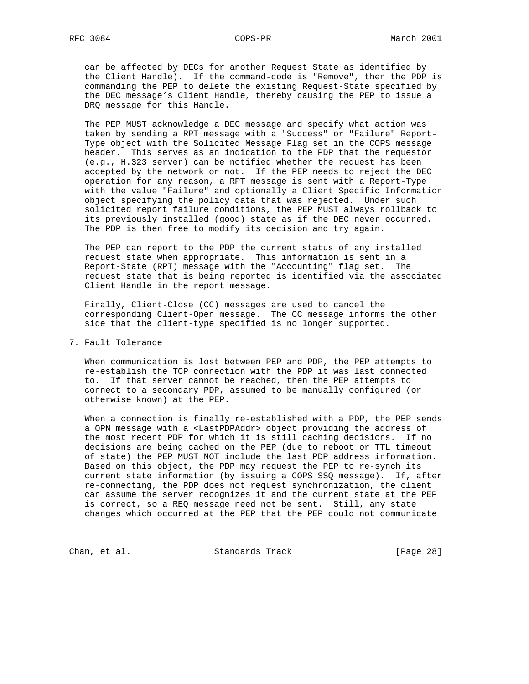can be affected by DECs for another Request State as identified by the Client Handle). If the command-code is "Remove", then the PDP is commanding the PEP to delete the existing Request-State specified by the DEC message's Client Handle, thereby causing the PEP to issue a DRQ message for this Handle.

 The PEP MUST acknowledge a DEC message and specify what action was taken by sending a RPT message with a "Success" or "Failure" Report- Type object with the Solicited Message Flag set in the COPS message header. This serves as an indication to the PDP that the requestor (e.g., H.323 server) can be notified whether the request has been accepted by the network or not. If the PEP needs to reject the DEC operation for any reason, a RPT message is sent with a Report-Type with the value "Failure" and optionally a Client Specific Information object specifying the policy data that was rejected. Under such solicited report failure conditions, the PEP MUST always rollback to its previously installed (good) state as if the DEC never occurred. The PDP is then free to modify its decision and try again.

 The PEP can report to the PDP the current status of any installed request state when appropriate. This information is sent in a Report-State (RPT) message with the "Accounting" flag set. The request state that is being reported is identified via the associated Client Handle in the report message.

 Finally, Client-Close (CC) messages are used to cancel the corresponding Client-Open message. The CC message informs the other side that the client-type specified is no longer supported.

### 7. Fault Tolerance

 When communication is lost between PEP and PDP, the PEP attempts to re-establish the TCP connection with the PDP it was last connected to. If that server cannot be reached, then the PEP attempts to connect to a secondary PDP, assumed to be manually configured (or otherwise known) at the PEP.

 When a connection is finally re-established with a PDP, the PEP sends a OPN message with a <LastPDPAddr> object providing the address of the most recent PDP for which it is still caching decisions. If no decisions are being cached on the PEP (due to reboot or TTL timeout of state) the PEP MUST NOT include the last PDP address information. Based on this object, the PDP may request the PEP to re-synch its current state information (by issuing a COPS SSQ message). If, after re-connecting, the PDP does not request synchronization, the client can assume the server recognizes it and the current state at the PEP is correct, so a REQ message need not be sent. Still, any state changes which occurred at the PEP that the PEP could not communicate

Chan, et al. Standards Track [Page 28]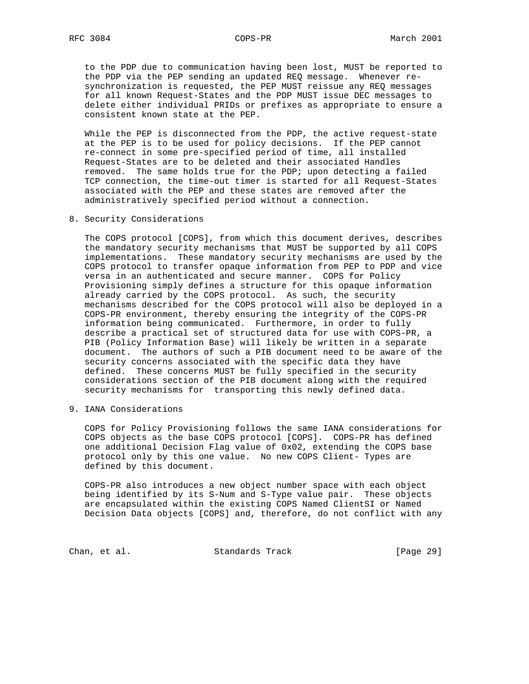to the PDP due to communication having been lost, MUST be reported to the PDP via the PEP sending an updated REQ message. Whenever re synchronization is requested, the PEP MUST reissue any REQ messages for all known Request-States and the PDP MUST issue DEC messages to delete either individual PRIDs or prefixes as appropriate to ensure a consistent known state at the PEP.

 While the PEP is disconnected from the PDP, the active request-state at the PEP is to be used for policy decisions. If the PEP cannot re-connect in some pre-specified period of time, all installed Request-States are to be deleted and their associated Handles removed. The same holds true for the PDP; upon detecting a failed TCP connection, the time-out timer is started for all Request-States associated with the PEP and these states are removed after the administratively specified period without a connection.

8. Security Considerations

 The COPS protocol [COPS], from which this document derives, describes the mandatory security mechanisms that MUST be supported by all COPS implementations. These mandatory security mechanisms are used by the COPS protocol to transfer opaque information from PEP to PDP and vice versa in an authenticated and secure manner. COPS for Policy Provisioning simply defines a structure for this opaque information already carried by the COPS protocol. As such, the security mechanisms described for the COPS protocol will also be deployed in a COPS-PR environment, thereby ensuring the integrity of the COPS-PR information being communicated. Furthermore, in order to fully describe a practical set of structured data for use with COPS-PR, a PIB (Policy Information Base) will likely be written in a separate document. The authors of such a PIB document need to be aware of the security concerns associated with the specific data they have defined. These concerns MUST be fully specified in the security considerations section of the PIB document along with the required security mechanisms for transporting this newly defined data.

9. IANA Considerations

 COPS for Policy Provisioning follows the same IANA considerations for COPS objects as the base COPS protocol [COPS]. COPS-PR has defined one additional Decision Flag value of 0x02, extending the COPS base protocol only by this one value. No new COPS Client- Types are defined by this document.

 COPS-PR also introduces a new object number space with each object being identified by its S-Num and S-Type value pair. These objects are encapsulated within the existing COPS Named ClientSI or Named Decision Data objects [COPS] and, therefore, do not conflict with any

Chan, et al. Standards Track [Page 29]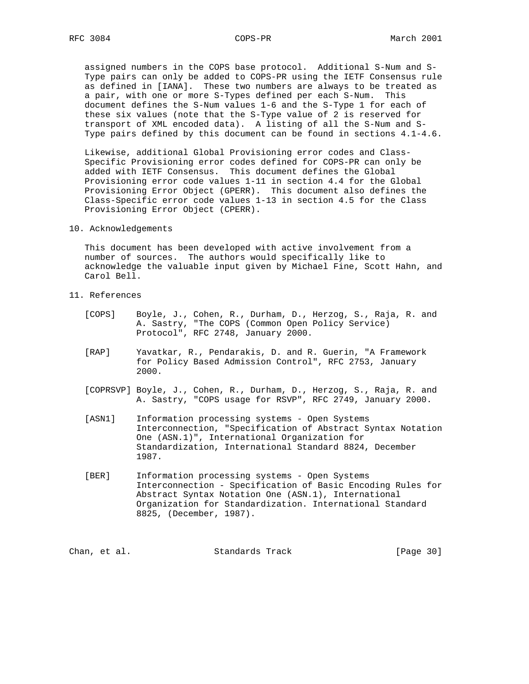assigned numbers in the COPS base protocol. Additional S-Num and S- Type pairs can only be added to COPS-PR using the IETF Consensus rule as defined in [IANA]. These two numbers are always to be treated as a pair, with one or more S-Types defined per each S-Num. This document defines the S-Num values 1-6 and the S-Type 1 for each of these six values (note that the S-Type value of 2 is reserved for transport of XML encoded data). A listing of all the S-Num and S- Type pairs defined by this document can be found in sections 4.1-4.6.

 Likewise, additional Global Provisioning error codes and Class- Specific Provisioning error codes defined for COPS-PR can only be added with IETF Consensus. This document defines the Global Provisioning error code values 1-11 in section 4.4 for the Global Provisioning Error Object (GPERR). This document also defines the Class-Specific error code values 1-13 in section 4.5 for the Class Provisioning Error Object (CPERR).

10. Acknowledgements

 This document has been developed with active involvement from a number of sources. The authors would specifically like to acknowledge the valuable input given by Michael Fine, Scott Hahn, and Carol Bell.

- 11. References
	- [COPS] Boyle, J., Cohen, R., Durham, D., Herzog, S., Raja, R. and A. Sastry, "The COPS (Common Open Policy Service) Protocol", RFC 2748, January 2000.
	- [RAP] Yavatkar, R., Pendarakis, D. and R. Guerin, "A Framework for Policy Based Admission Control", RFC 2753, January 2000.
	- [COPRSVP] Boyle, J., Cohen, R., Durham, D., Herzog, S., Raja, R. and A. Sastry, "COPS usage for RSVP", RFC 2749, January 2000.
	- [ASN1] Information processing systems Open Systems Interconnection, "Specification of Abstract Syntax Notation One (ASN.1)", International Organization for Standardization, International Standard 8824, December 1987.
	- [BER] Information processing systems Open Systems Interconnection - Specification of Basic Encoding Rules for Abstract Syntax Notation One (ASN.1), International Organization for Standardization. International Standard 8825, (December, 1987).

Chan, et al. Standards Track [Page 30]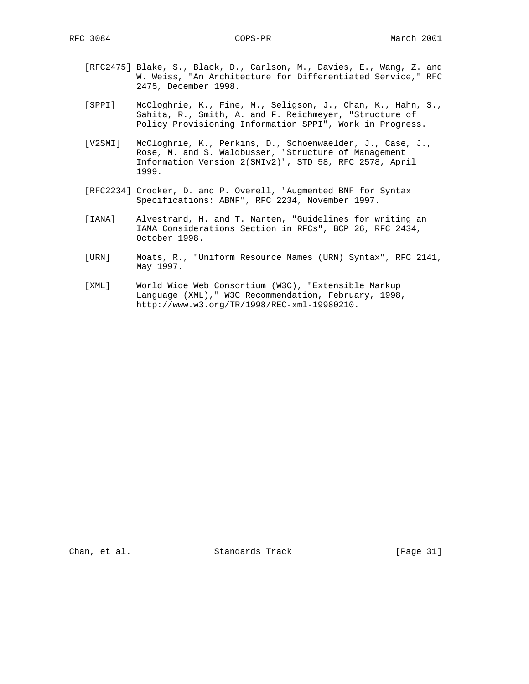- [RFC2475] Blake, S., Black, D., Carlson, M., Davies, E., Wang, Z. and W. Weiss, "An Architecture for Differentiated Service," RFC 2475, December 1998.
- [SPPI] McCloghrie, K., Fine, M., Seligson, J., Chan, K., Hahn, S., Sahita, R., Smith, A. and F. Reichmeyer, "Structure of Policy Provisioning Information SPPI", Work in Progress.
- [V2SMI] McCloghrie, K., Perkins, D., Schoenwaelder, J., Case, J., Rose, M. and S. Waldbusser, "Structure of Management Information Version 2(SMIv2)", STD 58, RFC 2578, April 1999.
- [RFC2234] Crocker, D. and P. Overell, "Augmented BNF for Syntax Specifications: ABNF", RFC 2234, November 1997.
- [IANA] Alvestrand, H. and T. Narten, "Guidelines for writing an IANA Considerations Section in RFCs", BCP 26, RFC 2434, October 1998.
- [URN] Moats, R., "Uniform Resource Names (URN) Syntax", RFC 2141, May 1997.
- [XML] World Wide Web Consortium (W3C), "Extensible Markup Language (XML)," W3C Recommendation, February, 1998, http://www.w3.org/TR/1998/REC-xml-19980210.

Chan, et al. Standards Track [Page 31]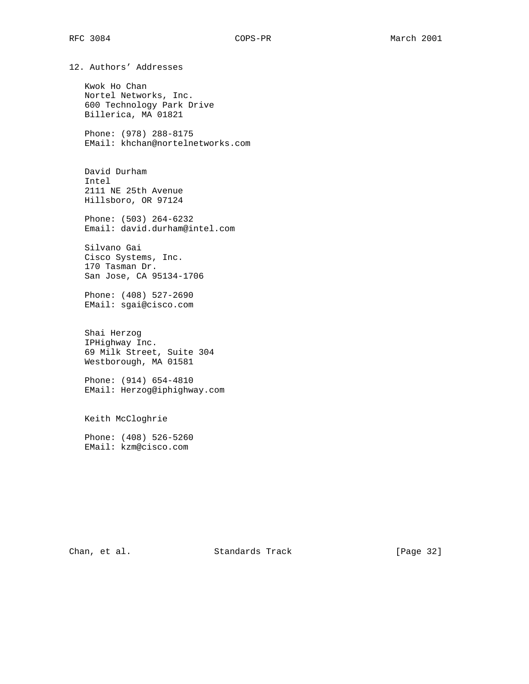12. Authors' Addresses

 Kwok Ho Chan Nortel Networks, Inc. 600 Technology Park Drive Billerica, MA 01821

 Phone: (978) 288-8175 EMail: khchan@nortelnetworks.com

 David Durham Intel 2111 NE 25th Avenue Hillsboro, OR 97124

 Phone: (503) 264-6232 Email: david.durham@intel.com

 Silvano Gai Cisco Systems, Inc. 170 Tasman Dr. San Jose, CA 95134-1706

 Phone: (408) 527-2690 EMail: sgai@cisco.com

 Shai Herzog IPHighway Inc. 69 Milk Street, Suite 304 Westborough, MA 01581

 Phone: (914) 654-4810 EMail: Herzog@iphighway.com

Keith McCloghrie

 Phone: (408) 526-5260 EMail: kzm@cisco.com

Chan, et al. Standards Track [Page 32]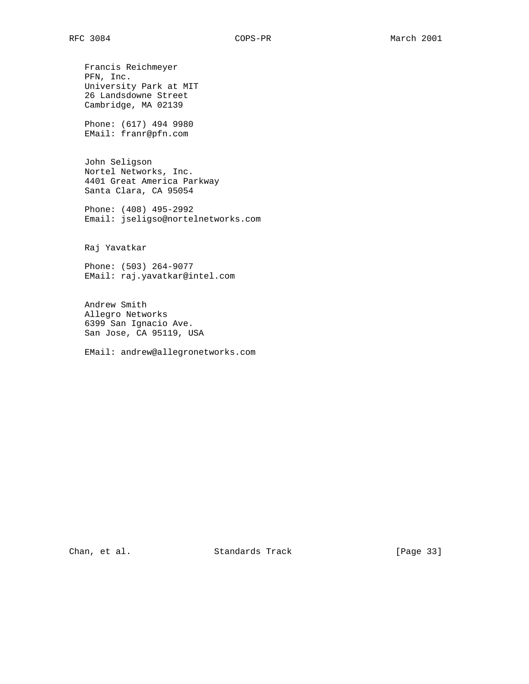Francis Reichmeyer PFN, Inc. University Park at MIT 26 Landsdowne Street Cambridge, MA 02139

 Phone: (617) 494 9980 EMail: franr@pfn.com

 John Seligson Nortel Networks, Inc. 4401 Great America Parkway Santa Clara, CA 95054

 Phone: (408) 495-2992 Email: jseligso@nortelnetworks.com

Raj Yavatkar

 Phone: (503) 264-9077 EMail: raj.yavatkar@intel.com

 Andrew Smith Allegro Networks 6399 San Ignacio Ave. San Jose, CA 95119, USA

EMail: andrew@allegronetworks.com

Chan, et al. Standards Track [Page 33]